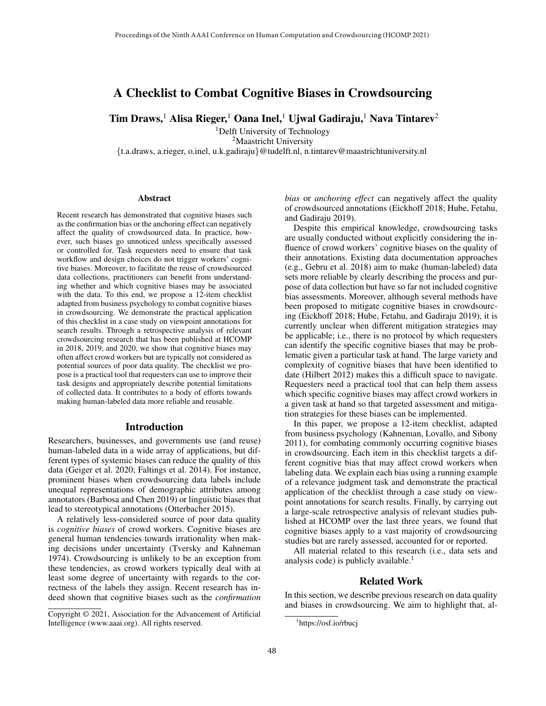# A Checklist to Combat Cognitive Biases in Crowdsourcing

 $Tim Draws, <sup>1</sup> Alisa Rieger, <sup>1</sup> Oana Inel, <sup>1</sup> Ujwal Gadiraju, <sup>1</sup> Nava Tintarev<sup>2</sup>$ 

<sup>1</sup>Delft University of Technology <sup>2</sup>Maastricht University {t.a.draws, a.rieger, o.inel, u.k.gadiraju}@tudelft.nl, n.tintarev@maastrichtuniversity.nl

#### **Abstract**

Recent research has demonstrated that cognitive biases such as the confirmation bias or the anchoring effect can negatively affect the quality of crowdsourced data. In practice, however, such biases go unnoticed unless specifically assessed or controlled for. Task requesters need to ensure that task workflow and design choices do not trigger workers' cognitive biases. Moreover, to facilitate the reuse of crowdsourced data collections, practitioners can benefit from understanding whether and which cognitive biases may be associated with the data. To this end, we propose a 12-item checklist adapted from business psychology to combat cognitive biases in crowdsourcing. We demonstrate the practical application of this checklist in a case study on viewpoint annotations for search results. Through a retrospective analysis of relevant crowdsourcing research that has been published at HCOMP in 2018, 2019, and 2020, we show that cognitive biases may often affect crowd workers but are typically not considered as potential sources of poor data quality. The checklist we propose is a practical tool that requesters can use to improve their task designs and appropriately describe potential limitations of collected data. It contributes to a body of efforts towards making human-labeled data more reliable and reusable.

### Introduction

Researchers, businesses, and governments use (and reuse) human-labeled data in a wide array of applications, but different types of systemic biases can reduce the quality of this data (Geiger et al. 2020; Faltings et al. 2014). For instance, prominent biases when crowdsourcing data labels include unequal representations of demographic attributes among annotators (Barbosa and Chen 2019) or linguistic biases that lead to stereotypical annotations (Otterbacher 2015).

A relatively less-considered source of poor data quality is *cognitive biases* of crowd workers. Cognitive biases are general human tendencies towards irrationality when making decisions under uncertainty (Tversky and Kahneman 1974). Crowdsourcing is unlikely to be an exception from these tendencies, as crowd workers typically deal with at least some degree of uncertainty with regards to the correctness of the labels they assign. Recent research has indeed shown that cognitive biases such as the *confirmation*

*bias* or *anchoring effect* can negatively affect the quality of crowdsourced annotations (Eickhoff 2018; Hube, Fetahu, and Gadiraju 2019).

Despite this empirical knowledge, crowdsourcing tasks are usually conducted without explicitly considering the influence of crowd workers' cognitive biases on the quality of their annotations. Existing data documentation approaches (e.g., Gebru et al. 2018) aim to make (human-labeled) data sets more reliable by clearly describing the process and purpose of data collection but have so far not included cognitive bias assessments. Moreover, although several methods have been proposed to mitigate cognitive biases in crowdsourcing (Eickhoff 2018; Hube, Fetahu, and Gadiraju 2019), it is currently unclear when different mitigation strategies may be applicable; i.e., there is no protocol by which requesters can identify the specific cognitive biases that may be problematic given a particular task at hand. The large variety and complexity of cognitive biases that have been identified to date (Hilbert 2012) makes this a difficult space to navigate. Requesters need a practical tool that can help them assess which specific cognitive biases may affect crowd workers in a given task at hand so that targeted assessment and mitigation strategies for these biases can be implemented.

In this paper, we propose a 12-item checklist, adapted from business psychology (Kahneman, Lovallo, and Sibony 2011), for combating commonly occurring cognitive biases in crowdsourcing. Each item in this checklist targets a different cognitive bias that may affect crowd workers when labeling data. We explain each bias using a running example of a relevance judgment task and demonstrate the practical application of the checklist through a case study on viewpoint annotations for search results. Finally, by carrying out a large-scale retrospective analysis of relevant studies published at HCOMP over the last three years, we found that cognitive biases apply to a vast majority of crowdsourcing studies but are rarely assessed, accounted for or reported.

All material related to this research (i.e., data sets and analysis code) is publicly available. $<sup>1</sup>$ </sup>

### Related Work

In this section, we describe previous research on data quality and biases in crowdsourcing. We aim to highlight that, al-

Copyright © 2021, Association for the Advancement of Artificial Intelligence (www.aaai.org). All rights reserved.

<sup>1</sup> https://osf.io/rbucj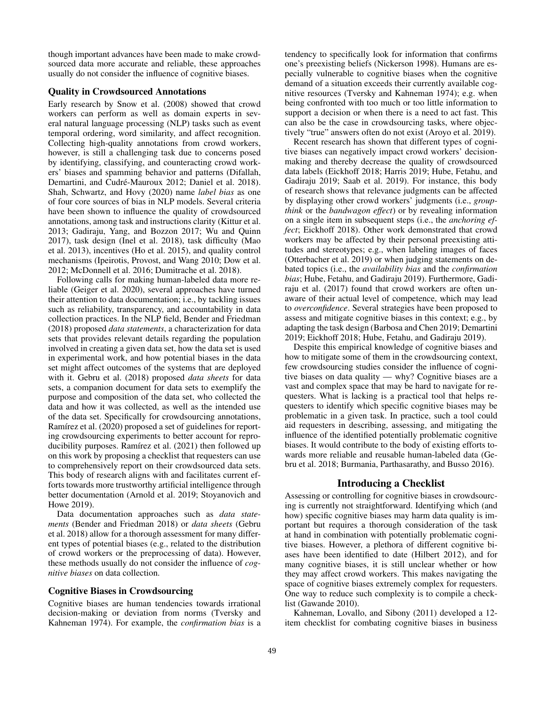though important advances have been made to make crowdsourced data more accurate and reliable, these approaches usually do not consider the influence of cognitive biases.

### Quality in Crowdsourced Annotations

Early research by Snow et al. (2008) showed that crowd workers can perform as well as domain experts in several natural language processing (NLP) tasks such as event temporal ordering, word similarity, and affect recognition. Collecting high-quality annotations from crowd workers, however, is still a challenging task due to concerns posed by identifying, classifying, and counteracting crowd workers' biases and spamming behavior and patterns (Difallah, Demartini, and Cudré-Mauroux 2012; Daniel et al. 2018). Shah, Schwartz, and Hovy (2020) name *label bias* as one of four core sources of bias in NLP models. Several criteria have been shown to influence the quality of crowdsourced annotations, among task and instructions clarity (Kittur et al. 2013; Gadiraju, Yang, and Bozzon 2017; Wu and Quinn 2017), task design (Inel et al. 2018), task difficulty (Mao et al. 2013), incentives (Ho et al. 2015), and quality control mechanisms (Ipeirotis, Provost, and Wang 2010; Dow et al. 2012; McDonnell et al. 2016; Dumitrache et al. 2018).

Following calls for making human-labeled data more reliable (Geiger et al. 2020), several approaches have turned their attention to data documentation; i.e., by tackling issues such as reliability, transparency, and accountability in data collection practices. In the NLP field, Bender and Friedman (2018) proposed *data statements*, a characterization for data sets that provides relevant details regarding the population involved in creating a given data set, how the data set is used in experimental work, and how potential biases in the data set might affect outcomes of the systems that are deployed with it. Gebru et al. (2018) proposed *data sheets* for data sets, a companion document for data sets to exemplify the purpose and composition of the data set, who collected the data and how it was collected, as well as the intended use of the data set. Specifically for crowdsourcing annotations, Ramírez et al. (2020) proposed a set of guidelines for reporting crowdsourcing experiments to better account for reproducibility purposes. Ramírez et al.  $(2021)$  then followed up on this work by proposing a checklist that requesters can use to comprehensively report on their crowdsourced data sets. This body of research aligns with and facilitates current efforts towards more trustworthy artificial intelligence through better documentation (Arnold et al. 2019; Stoyanovich and Howe 2019).

Data documentation approaches such as *data statements* (Bender and Friedman 2018) or *data sheets* (Gebru et al. 2018) allow for a thorough assessment for many different types of potential biases (e.g., related to the distribution of crowd workers or the preprocessing of data). However, these methods usually do not consider the influence of *cognitive biases* on data collection.

### Cognitive Biases in Crowdsourcing

Cognitive biases are human tendencies towards irrational decision-making or deviation from norms (Tversky and Kahneman 1974). For example, the *confirmation bias* is a tendency to specifically look for information that confirms one's preexisting beliefs (Nickerson 1998). Humans are especially vulnerable to cognitive biases when the cognitive demand of a situation exceeds their currently available cognitive resources (Tversky and Kahneman 1974); e.g. when being confronted with too much or too little information to support a decision or when there is a need to act fast. This can also be the case in crowdsourcing tasks, where objectively "true" answers often do not exist (Aroyo et al. 2019).

Recent research has shown that different types of cognitive biases can negatively impact crowd workers' decisionmaking and thereby decrease the quality of crowdsourced data labels (Eickhoff 2018; Harris 2019; Hube, Fetahu, and Gadiraju 2019; Saab et al. 2019). For instance, this body of research shows that relevance judgments can be affected by displaying other crowd workers' judgments (i.e., *groupthink* or the *bandwagon effect*) or by revealing information on a single item in subsequent steps (i.e., the *anchoring effect*; Eickhoff 2018). Other work demonstrated that crowd workers may be affected by their personal preexisting attitudes and stereotypes; e.g., when labeling images of faces (Otterbacher et al. 2019) or when judging statements on debated topics (i.e., the *availability bias* and the *confirmation bias*; Hube, Fetahu, and Gadiraju 2019). Furthermore, Gadiraju et al. (2017) found that crowd workers are often unaware of their actual level of competence, which may lead to *overconfidence*. Several strategies have been proposed to assess and mitigate cognitive biases in this context; e.g., by adapting the task design (Barbosa and Chen 2019; Demartini 2019; Eickhoff 2018; Hube, Fetahu, and Gadiraju 2019).

Despite this empirical knowledge of cognitive biases and how to mitigate some of them in the crowdsourcing context, few crowdsourcing studies consider the influence of cognitive biases on data quality — why? Cognitive biases are a vast and complex space that may be hard to navigate for requesters. What is lacking is a practical tool that helps requesters to identify which specific cognitive biases may be problematic in a given task. In practice, such a tool could aid requesters in describing, assessing, and mitigating the influence of the identified potentially problematic cognitive biases. It would contribute to the body of existing efforts towards more reliable and reusable human-labeled data (Gebru et al. 2018; Burmania, Parthasarathy, and Busso 2016).

### Introducing a Checklist

Assessing or controlling for cognitive biases in crowdsourcing is currently not straightforward. Identifying which (and how) specific cognitive biases may harm data quality is important but requires a thorough consideration of the task at hand in combination with potentially problematic cognitive biases. However, a plethora of different cognitive biases have been identified to date (Hilbert 2012), and for many cognitive biases, it is still unclear whether or how they may affect crowd workers. This makes navigating the space of cognitive biases extremely complex for requesters. One way to reduce such complexity is to compile a checklist (Gawande 2010).

Kahneman, Lovallo, and Sibony (2011) developed a 12 item checklist for combating cognitive biases in business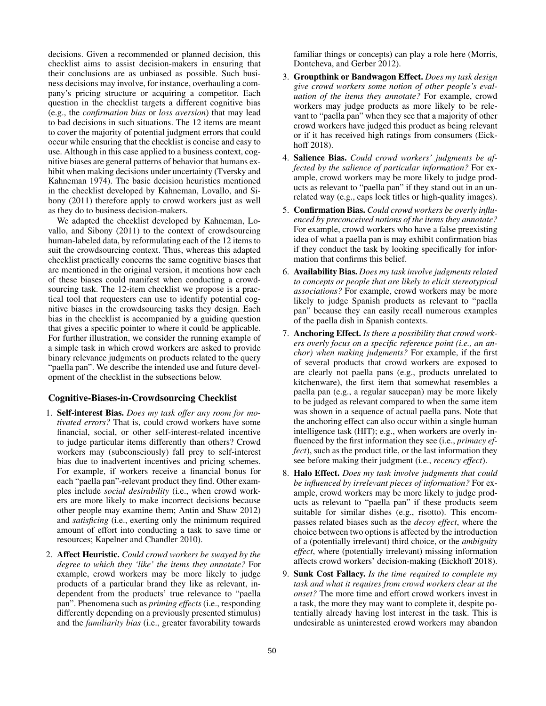decisions. Given a recommended or planned decision, this checklist aims to assist decision-makers in ensuring that their conclusions are as unbiased as possible. Such business decisions may involve, for instance, overhauling a company's pricing structure or acquiring a competitor. Each question in the checklist targets a different cognitive bias (e.g., the *confirmation bias* or *loss aversion*) that may lead to bad decisions in such situations. The 12 items are meant to cover the majority of potential judgment errors that could occur while ensuring that the checklist is concise and easy to use. Although in this case applied to a business context, cognitive biases are general patterns of behavior that humans exhibit when making decisions under uncertainty (Tversky and Kahneman 1974). The basic decision heuristics mentioned in the checklist developed by Kahneman, Lovallo, and Sibony (2011) therefore apply to crowd workers just as well as they do to business decision-makers.

We adapted the checklist developed by Kahneman, Lovallo, and Sibony (2011) to the context of crowdsourcing human-labeled data, by reformulating each of the 12 items to suit the crowdsourcing context. Thus, whereas this adapted checklist practically concerns the same cognitive biases that are mentioned in the original version, it mentions how each of these biases could manifest when conducting a crowdsourcing task. The 12-item checklist we propose is a practical tool that requesters can use to identify potential cognitive biases in the crowdsourcing tasks they design. Each bias in the checklist is accompanied by a guiding question that gives a specific pointer to where it could be applicable. For further illustration, we consider the running example of a simple task in which crowd workers are asked to provide binary relevance judgments on products related to the query "paella pan". We describe the intended use and future development of the checklist in the subsections below.

## Cognitive-Biases-in-Crowdsourcing Checklist

- 1. Self-interest Bias. *Does my task offer any room for motivated errors?* That is, could crowd workers have some financial, social, or other self-interest-related incentive to judge particular items differently than others? Crowd workers may (subconsciously) fall prey to self-interest bias due to inadvertent incentives and pricing schemes. For example, if workers receive a financial bonus for each "paella pan"-relevant product they find. Other examples include *social desirability* (i.e., when crowd workers are more likely to make incorrect decisions because other people may examine them; Antin and Shaw 2012) and *satisficing* (i.e., exerting only the minimum required amount of effort into conducting a task to save time or resources; Kapelner and Chandler 2010).
- 2. Affect Heuristic. *Could crowd workers be swayed by the degree to which they 'like' the items they annotate?* For example, crowd workers may be more likely to judge products of a particular brand they like as relevant, independent from the products' true relevance to "paella pan". Phenomena such as *priming effects* (i.e., responding differently depending on a previously presented stimulus) and the *familiarity bias* (i.e., greater favorability towards

familiar things or concepts) can play a role here (Morris, Dontcheva, and Gerber 2012).

- 3. Groupthink or Bandwagon Effect. *Does my task design give crowd workers some notion of other people's evaluation of the items they annotate?* For example, crowd workers may judge products as more likely to be relevant to "paella pan" when they see that a majority of other crowd workers have judged this product as being relevant or if it has received high ratings from consumers (Eickhoff 2018).
- 4. Salience Bias. *Could crowd workers' judgments be affected by the salience of particular information?* For example, crowd workers may be more likely to judge products as relevant to "paella pan" if they stand out in an unrelated way (e.g., caps lock titles or high-quality images).
- 5. Confirmation Bias. *Could crowd workers be overly influenced by preconceived notions of the items they annotate?* For example, crowd workers who have a false preexisting idea of what a paella pan is may exhibit confirmation bias if they conduct the task by looking specifically for information that confirms this belief.
- 6. Availability Bias. *Does my task involve judgments related to concepts or people that are likely to elicit stereotypical associations?* For example, crowd workers may be more likely to judge Spanish products as relevant to "paella pan" because they can easily recall numerous examples of the paella dish in Spanish contexts.
- 7. Anchoring Effect. *Is there a possibility that crowd workers overly focus on a specific reference point (i.e., an anchor) when making judgments?* For example, if the first of several products that crowd workers are exposed to are clearly not paella pans (e.g., products unrelated to kitchenware), the first item that somewhat resembles a paella pan (e.g., a regular saucepan) may be more likely to be judged as relevant compared to when the same item was shown in a sequence of actual paella pans. Note that the anchoring effect can also occur within a single human intelligence task (HIT); e.g., when workers are overly influenced by the first information they see (i.e., *primacy effect*), such as the product title, or the last information they see before making their judgment (i.e., *recency effect*).
- 8. Halo Effect. *Does my task involve judgments that could be influenced by irrelevant pieces of information?* For example, crowd workers may be more likely to judge products as relevant to "paella pan" if these products seem suitable for similar dishes (e.g., risotto). This encompasses related biases such as the *decoy effect*, where the choice between two options is affected by the introduction of a (potentially irrelevant) third choice, or the *ambiguity effect*, where (potentially irrelevant) missing information affects crowd workers' decision-making (Eickhoff 2018).
- 9. Sunk Cost Fallacy. *Is the time required to complete my task and what it requires from crowd workers clear at the onset?* The more time and effort crowd workers invest in a task, the more they may want to complete it, despite potentially already having lost interest in the task. This is undesirable as uninterested crowd workers may abandon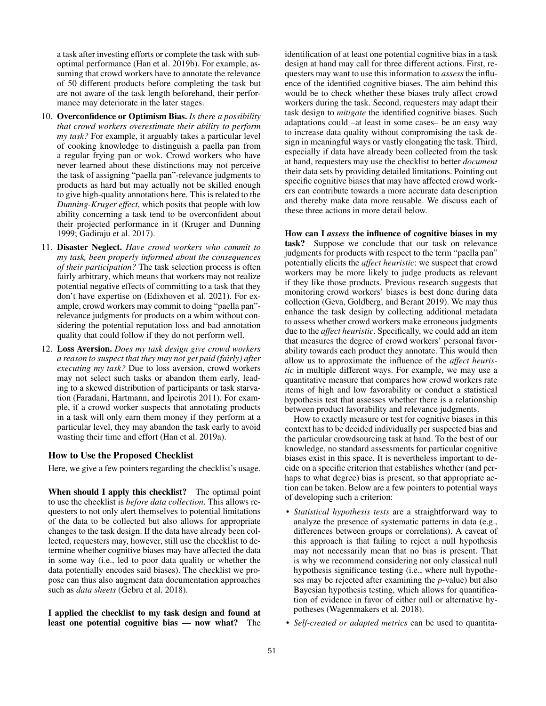a task after investing efforts or complete the task with suboptimal performance (Han et al. 2019b). For example, assuming that crowd workers have to annotate the relevance of 50 different products before completing the task but are not aware of the task length beforehand, their performance may deteriorate in the later stages.

- 10. Overconfidence or Optimism Bias. *Is there a possibility that crowd workers overestimate their ability to perform my task?* For example, it arguably takes a particular level of cooking knowledge to distinguish a paella pan from a regular frying pan or wok. Crowd workers who have never learned about these distinctions may not perceive the task of assigning "paella pan"-relevance judgments to products as hard but may actually not be skilled enough to give high-quality annotations here. This is related to the *Dunning-Kruger effect*, which posits that people with low ability concerning a task tend to be overconfident about their projected performance in it (Kruger and Dunning 1999; Gadiraju et al. 2017).
- 11. Disaster Neglect. *Have crowd workers who commit to my task, been properly informed about the consequences of their participation?* The task selection process is often fairly arbitrary, which means that workers may not realize potential negative effects of committing to a task that they don't have expertise on (Edixhoven et al. 2021). For example, crowd workers may commit to doing "paella pan" relevance judgments for products on a whim without considering the potential reputation loss and bad annotation quality that could follow if they do not perform well.
- 12. Loss Aversion. *Does my task design give crowd workers a reason to suspect that they may not get paid (fairly) after executing my task?* Due to loss aversion, crowd workers may not select such tasks or abandon them early, leading to a skewed distribution of participants or task starvation (Faradani, Hartmann, and Ipeirotis 2011). For example, if a crowd worker suspects that annotating products in a task will only earn them money if they perform at a particular level, they may abandon the task early to avoid wasting their time and effort (Han et al. 2019a).

### How to Use the Proposed Checklist

Here, we give a few pointers regarding the checklist's usage.

When should I apply this checklist? The optimal point to use the checklist is *before data collection*. This allows requesters to not only alert themselves to potential limitations of the data to be collected but also allows for appropriate changes to the task design. If the data have already been collected, requesters may, however, still use the checklist to determine whether cognitive biases may have affected the data in some way (i.e., led to poor data quality or whether the data potentially encodes said biases). The checklist we propose can thus also augment data documentation approaches such as *data sheets* (Gebru et al. 2018).

I applied the checklist to my task design and found at least one potential cognitive bias — now what? The identification of at least one potential cognitive bias in a task design at hand may call for three different actions. First, requesters may want to use this information to *assess* the influence of the identified cognitive biases. The aim behind this would be to check whether these biases truly affect crowd workers during the task. Second, requesters may adapt their task design to *mitigate* the identified cognitive biases. Such adaptations could –at least in some cases– be an easy way to increase data quality without compromising the task design in meaningful ways or vastly elongating the task. Third, especially if data have already been collected from the task at hand, requesters may use the checklist to better *document* their data sets by providing detailed limitations. Pointing out specific cognitive biases that may have affected crowd workers can contribute towards a more accurate data description and thereby make data more reusable. We discuss each of these three actions in more detail below.

How can I *assess* the influence of cognitive biases in my task? Suppose we conclude that our task on relevance judgments for products with respect to the term "paella pan" potentially elicits the *affect heuristic*: we suspect that crowd workers may be more likely to judge products as relevant if they like those products. Previous research suggests that monitoring crowd workers' biases is best done during data collection (Geva, Goldberg, and Berant 2019). We may thus enhance the task design by collecting additional metadata to assess whether crowd workers make erroneous judgments due to the *affect heuristic*. Specifically, we could add an item that measures the degree of crowd workers' personal favorability towards each product they annotate. This would then allow us to approximate the influence of the *affect heuristic* in multiple different ways. For example, we may use a quantitative measure that compares how crowd workers rate items of high and low favorability or conduct a statistical hypothesis test that assesses whether there is a relationship between product favorability and relevance judgments.

How to exactly measure or test for cognitive biases in this context has to be decided individually per suspected bias and the particular crowdsourcing task at hand. To the best of our knowledge, no standard assessments for particular cognitive biases exist in this space. It is nevertheless important to decide on a specific criterion that establishes whether (and perhaps to what degree) bias is present, so that appropriate action can be taken. Below are a few pointers to potential ways of developing such a criterion:

- *Statistical hypothesis tests* are a straightforward way to analyze the presence of systematic patterns in data (e.g., differences between groups or correlations). A caveat of this approach is that failing to reject a null hypothesis may not necessarily mean that no bias is present. That is why we recommend considering not only classical null hypothesis significance testing (i.e., where null hypotheses may be rejected after examining the *p*-value) but also Bayesian hypothesis testing, which allows for quantification of evidence in favor of either null or alternative hypotheses (Wagenmakers et al. 2018).
- *Self-created or adapted metrics* can be used to quantita-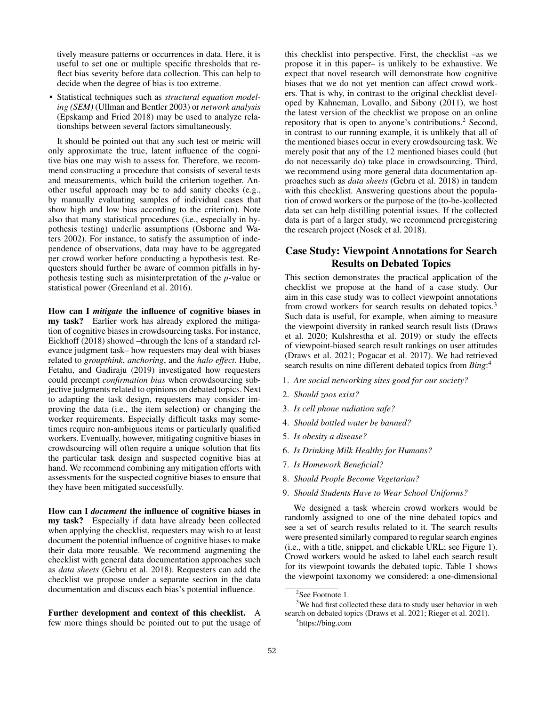tively measure patterns or occurrences in data. Here, it is useful to set one or multiple specific thresholds that reflect bias severity before data collection. This can help to decide when the degree of bias is too extreme.

• Statistical techniques such as *structural equation modeling (SEM)* (Ullman and Bentler 2003) or *network analysis* (Epskamp and Fried 2018) may be used to analyze relationships between several factors simultaneously.

It should be pointed out that any such test or metric will only approximate the true, latent influence of the cognitive bias one may wish to assess for. Therefore, we recommend constructing a procedure that consists of several tests and measurements, which build the criterion together. Another useful approach may be to add sanity checks (e.g., by manually evaluating samples of individual cases that show high and low bias according to the criterion). Note also that many statistical procedures (i.e., especially in hypothesis testing) underlie assumptions (Osborne and Waters 2002). For instance, to satisfy the assumption of independence of observations, data may have to be aggregated per crowd worker before conducting a hypothesis test. Requesters should further be aware of common pitfalls in hypothesis testing such as misinterpretation of the *p*-value or statistical power (Greenland et al. 2016).

How can I *mitigate* the influence of cognitive biases in my task? Earlier work has already explored the mitigation of cognitive biases in crowdsourcing tasks. For instance, Eickhoff (2018) showed –through the lens of a standard relevance judgment task– how requesters may deal with biases related to *groupthink*, *anchoring*, and the *halo effect*. Hube, Fetahu, and Gadiraju (2019) investigated how requesters could preempt *confirmation bias* when crowdsourcing subjective judgments related to opinions on debated topics. Next to adapting the task design, requesters may consider improving the data (i.e., the item selection) or changing the worker requirements. Especially difficult tasks may sometimes require non-ambiguous items or particularly qualified workers. Eventually, however, mitigating cognitive biases in crowdsourcing will often require a unique solution that fits the particular task design and suspected cognitive bias at hand. We recommend combining any mitigation efforts with assessments for the suspected cognitive biases to ensure that they have been mitigated successfully.

How can I *document* the influence of cognitive biases in my task? Especially if data have already been collected when applying the checklist, requesters may wish to at least document the potential influence of cognitive biases to make their data more reusable. We recommend augmenting the checklist with general data documentation approaches such as *data sheets* (Gebru et al. 2018). Requesters can add the checklist we propose under a separate section in the data documentation and discuss each bias's potential influence.

Further development and context of this checklist. A few more things should be pointed out to put the usage of

this checklist into perspective. First, the checklist –as we propose it in this paper– is unlikely to be exhaustive. We expect that novel research will demonstrate how cognitive biases that we do not yet mention can affect crowd workers. That is why, in contrast to the original checklist developed by Kahneman, Lovallo, and Sibony (2011), we host the latest version of the checklist we propose on an online repository that is open to anyone's contributions.<sup>2</sup> Second, in contrast to our running example, it is unlikely that all of the mentioned biases occur in every crowdsourcing task. We merely posit that any of the 12 mentioned biases could (but do not necessarily do) take place in crowdsourcing. Third, we recommend using more general data documentation approaches such as *data sheets* (Gebru et al. 2018) in tandem with this checklist. Answering questions about the population of crowd workers or the purpose of the (to-be-)collected data set can help distilling potential issues. If the collected data is part of a larger study, we recommend preregistering the research project (Nosek et al. 2018).

## Case Study: Viewpoint Annotations for Search Results on Debated Topics

This section demonstrates the practical application of the checklist we propose at the hand of a case study. Our aim in this case study was to collect viewpoint annotations from crowd workers for search results on debated topics.<sup>3</sup> Such data is useful, for example, when aiming to measure the viewpoint diversity in ranked search result lists (Draws et al. 2020; Kulshrestha et al. 2019) or study the effects of viewpoint-biased search result rankings on user attitudes (Draws et al. 2021; Pogacar et al. 2017). We had retrieved search results on nine different debated topics from *Bing*: 4

- 1. *Are social networking sites good for our society?*
- 2. *Should zoos exist?*
- 3. *Is cell phone radiation safe?*
- 4. *Should bottled water be banned?*
- 5. *Is obesity a disease?*
- 6. *Is Drinking Milk Healthy for Humans?*
- 7. *Is Homework Beneficial?*
- 8. *Should People Become Vegetarian?*
- 9. *Should Students Have to Wear School Uniforms?*

We designed a task wherein crowd workers would be randomly assigned to one of the nine debated topics and see a set of search results related to it. The search results were presented similarly compared to regular search engines (i.e., with a title, snippet, and clickable URL; see Figure 1). Crowd workers would be asked to label each search result for its viewpoint towards the debated topic. Table 1 shows the viewpoint taxonomy we considered: a one-dimensional

<sup>3</sup>We had first collected these data to study user behavior in web search on debated topics (Draws et al. 2021; Rieger et al. 2021).

<sup>&</sup>lt;sup>2</sup>See Footnote 1.

<sup>4</sup> https://bing.com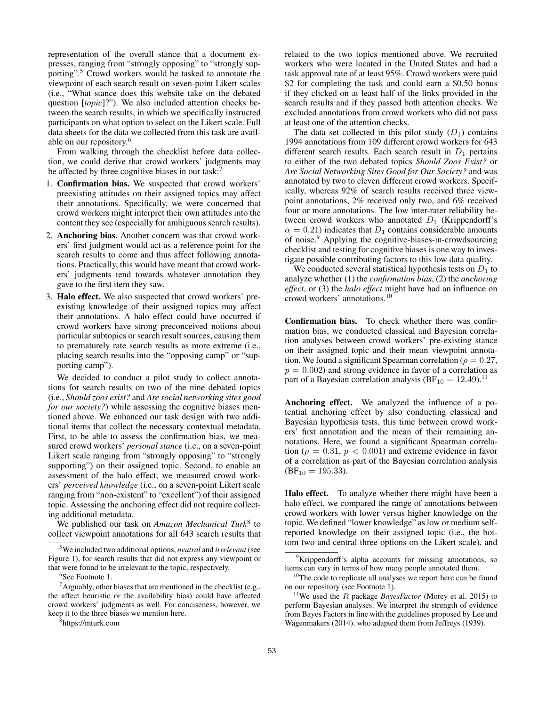representation of the overall stance that a document expresses, ranging from "strongly opposing" to "strongly supporting".<sup>5</sup> Crowd workers would be tasked to annotate the viewpoint of each search result on seven-point Likert scales (i.e., "What stance does this website take on the debated question [*topic*]?"). We also included attention checks between the search results, in which we specifically instructed participants on what option to select on the Likert scale. Full data sheets for the data we collected from this task are available on our repository.<sup>6</sup>

From walking through the checklist before data collection, we could derive that crowd workers' judgments may be affected by three cognitive biases in our task:<sup>7</sup>

- 1. Confirmation bias. We suspected that crowd workers' preexisting attitudes on their assigned topics may affect their annotations. Specifically, we were concerned that crowd workers might interpret their own attitudes into the content they see (especially for ambiguous search results).
- 2. Anchoring bias. Another concern was that crowd workers' first judgment would act as a reference point for the search results to come and thus affect following annotations. Practically, this would have meant that crowd workers' judgments tend towards whatever annotation they gave to the first item they saw.
- 3. Halo effect. We also suspected that crowd workers' preexisting knowledge of their assigned topics may affect their annotations. A halo effect could have occurred if crowd workers have strong preconceived notions about particular subtopics or search result sources, causing them to prematurely rate search results as more extreme (i.e., placing search results into the "opposing camp" or "supporting camp").

We decided to conduct a pilot study to collect annotations for search results on two of the nine debated topics (i.e., *Should zoos exist?* and *Are social networking sites good for our society?*) while assessing the cognitive biases mentioned above. We enhanced our task design with two additional items that collect the necessary contextual metadata. First, to be able to assess the confirmation bias, we measured crowd workers' *personal stance* (i.e., on a seven-point Likert scale ranging from "strongly opposing" to "strongly supporting") on their assigned topic. Second, to enable an assessment of the halo effect, we measured crowd workers' *perceived knowledge* (i.e., on a seven-point Likert scale ranging from "non-existent" to "excellent") of their assigned topic. Assessing the anchoring effect did not require collecting additional metadata.

We published our task on *Amazon Mechanical Turk*<sup>8</sup> to collect viewpoint annotations for all 643 search results that

<sup>7</sup> Arguably, other biases that are mentioned in the checklist (e.g., the affect heuristic or the availability bias) could have affected crowd workers' judgments as well. For conciseness, however, we keep it to the three biases we mention here.

related to the two topics mentioned above. We recruited workers who were located in the United States and had a task approval rate of at least 95%. Crowd workers were paid \$2 for completing the task and could earn a \$0.50 bonus if they clicked on at least half of the links provided in the search results and if they passed both attention checks. We excluded annotations from crowd workers who did not pass at least one of the attention checks.

The data set collected in this pilot study  $(D_1)$  contains 1994 annotations from 109 different crowd workers for 643 different search results. Each search result in  $D_1$  pertains to either of the two debated topics *Should Zoos Exist?* or *Are Social Networking Sites Good for Our Society?* and was annotated by two to eleven different crowd workers. Specifically, whereas 92% of search results received three viewpoint annotations, 2% received only two, and 6% received four or more annotations. The low inter-rater reliability between crowd workers who annotated  $D_1$  (Krippendorff's  $\alpha = 0.21$ ) indicates that  $D_1$  contains considerable amounts of noise.<sup>9</sup> Applying the cognitive-biases-in-crowdsourcing checklist and testing for cognitive biases is one way to investigate possible contributing factors to this low data quality.

We conducted several statistical hypothesis tests on  $D_1$  to analyze whether (1) the *confirmation bias*, (2) the *anchoring effect*, or (3) the *halo effect* might have had an influence on crowd workers' annotations.<sup>10</sup>

Confirmation bias. To check whether there was confirmation bias, we conducted classical and Bayesian correlation analyses between crowd workers' pre-existing stance on their assigned topic and their mean viewpoint annotation. We found a significant Spearman correlation ( $\rho = 0.27$ ,  $p = 0.002$ ) and strong evidence in favor of a correlation as part of a Bayesian correlation analysis  $(BF_{10} = 12.49)^{11}$ 

Anchoring effect. We analyzed the influence of a potential anchoring effect by also conducting classical and Bayesian hypothesis tests, this time between crowd workers' first annotation and the mean of their remaining annotations. Here, we found a significant Spearman correlation ( $\rho = 0.31$ ,  $p < 0.001$ ) and extreme evidence in favor of a correlation as part of the Bayesian correlation analysis  $(BF_{10} = 195.33)$ .

Halo effect. To analyze whether there might have been a halo effect, we compared the range of annotations between crowd workers with lower versus higher knowledge on the topic. We defined "lower knowledge" as low or medium selfreported knowledge on their assigned topic (i.e., the bottom two and central three options on the Likert scale), and

<sup>5</sup>We included two additional options, *neutral* and *irrelevant* (see Figure 1), for search results that did not express any viewpoint or that were found to be irrelevant to the topic, respectively.

<sup>6</sup> See Footnote 1.

<sup>8</sup> https://mturk.com

<sup>&</sup>lt;sup>9</sup>Krippendorff's alpha accounts for missing annotations, so items can vary in terms of how many people annotated them.

<sup>&</sup>lt;sup>10</sup>The code to replicate all analyses we report here can be found on our repository (see Footnote 1).

<sup>&</sup>lt;sup>11</sup>We used the *R* package *BayesFactor* (Morey et al. 2015) to perform Bayesian analyses. We interpret the strength of evidence from Bayes Factors in line with the guidelines proposed by Lee and Wagenmakers (2014), who adapted them from Jeffreys (1939).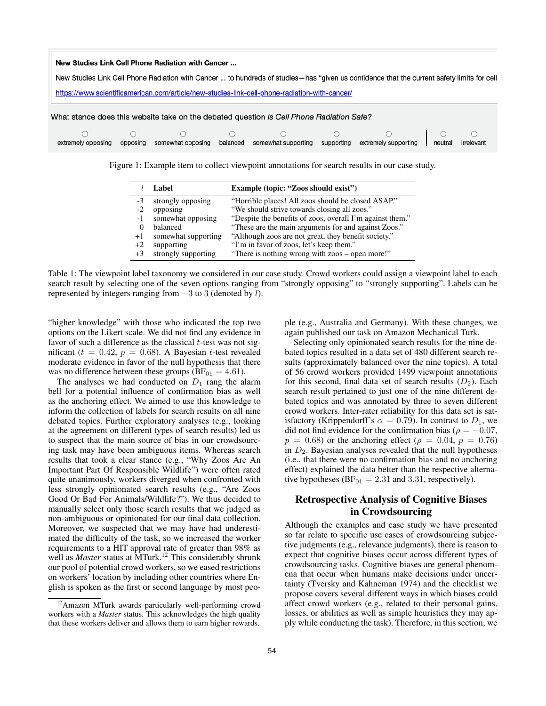#### New Studies Link Cell Phone Radiation with Cancer ...

New Studies Link Cell Phone Radiation with Cancer ... to hundreds of studies-has "given us confidence that the current safety limits for cell

https://www.scientificamerican.com/article/new-studies-link-cell-phone-radiation-with-cancer/



Figure 1: Example item to collect viewpoint annotations for search results in our case study.

|      | Label               | Example (topic: "Zoos should exist")                      |
|------|---------------------|-----------------------------------------------------------|
| -3   | strongly opposing   | "Horrible places! All zoos should be closed ASAP."        |
| $-2$ | opposing            | "We should strive towards closing all zoos."              |
| $-1$ | somewhat opposing   | "Despite the benefits of zoos, overall I'm against them." |
|      | balanced            | "These are the main arguments for and against Zoos."      |
| $+1$ | somewhat supporting | "Although zoos are not great, they benefit society."      |
| $+2$ | supporting          | "I'm in favor of zoos, let's keep them."                  |
| $+3$ | strongly supporting | "There is nothing wrong with zoos – open more!"           |

Table 1: The viewpoint label taxonomy we considered in our case study. Crowd workers could assign a viewpoint label to each search result by selecting one of the seven options ranging from "strongly opposing" to "strongly supporting". Labels can be represented by integers ranging from −3 to 3 (denoted by l).

"higher knowledge" with those who indicated the top two options on the Likert scale. We did not find any evidence in favor of such a difference as the classical  $t$ -test was not significant ( $t = 0.42$ ,  $p = 0.68$ ). A Bayesian t-test revealed moderate evidence in favor of the null hypothesis that there was no difference between these groups ( $BF_{01} = 4.61$ ).

The analyses we had conducted on  $D_1$  rang the alarm bell for a potential influence of confirmation bias as well as the anchoring effect. We aimed to use this knowledge to inform the collection of labels for search results on all nine debated topics. Further exploratory analyses (e.g., looking at the agreement on different types of search results) led us to suspect that the main source of bias in our crowdsourcing task may have been ambiguous items. Whereas search results that took a clear stance (e.g., "Why Zoos Are An Important Part Of Responsible Wildlife") were often rated quite unanimously, workers diverged when confronted with less strongly opinionated search results (e.g., "Are Zoos Good Or Bad For Animals/Wildlife?"). We thus decided to manually select only those search results that we judged as non-ambiguous or opinionated for our final data collection. Moreover, we suspected that we may have had underestimated the difficulty of the task, so we increased the worker requirements to a HIT approval rate of greater than 98% as well as *Master* status at MTurk.<sup>12</sup> This considerably shrunk our pool of potential crowd workers, so we eased restrictions on workers' location by including other countries where English is spoken as the first or second language by most people (e.g., Australia and Germany). With these changes, we again published our task on Amazon Mechanical Turk.

Selecting only opinionated search results for the nine debated topics resulted in a data set of 480 different search results (approximately balanced over the nine topics). A total of 56 crowd workers provided 1499 viewpoint annotations for this second, final data set of search results  $(D_2)$ . Each search result pertained to just one of the nine different debated topics and was annotated by three to seven different crowd workers. Inter-rater reliability for this data set is satisfactory (Krippendorff's  $\alpha = 0.79$ ). In contrast to  $D_1$ , we did not find evidence for the confirmation bias ( $\rho = -0.07$ ,  $p = 0.68$ ) or the anchoring effect ( $\rho = 0.04$ ,  $p = 0.76$ ) in  $D_2$ . Bayesian analyses revealed that the null hypotheses (i.e., that there were no confirmation bias and no anchoring effect) explained the data better than the respective alternative hypotheses ( $BF_{01} = 2.31$  and 3.31, respectively).

# Retrospective Analysis of Cognitive Biases in Crowdsourcing

Although the examples and case study we have presented so far relate to specific use cases of crowdsourcing subjective judgments (e.g., relevance judgments), there is reason to expect that cognitive biases occur across different types of crowdsourcing tasks. Cognitive biases are general phenomena that occur when humans make decisions under uncertainty (Tversky and Kahneman 1974) and the checklist we propose covers several different ways in which biases could affect crowd workers (e.g., related to their personal gains, losses, or abilities as well as simple heuristics they may apply while conducting the task). Therefore, in this section, we

<sup>12</sup>Amazon MTurk awards particularly well-performing crowd workers with a *Master* status. This acknowledges the high quality that these workers deliver and allows them to earn higher rewards.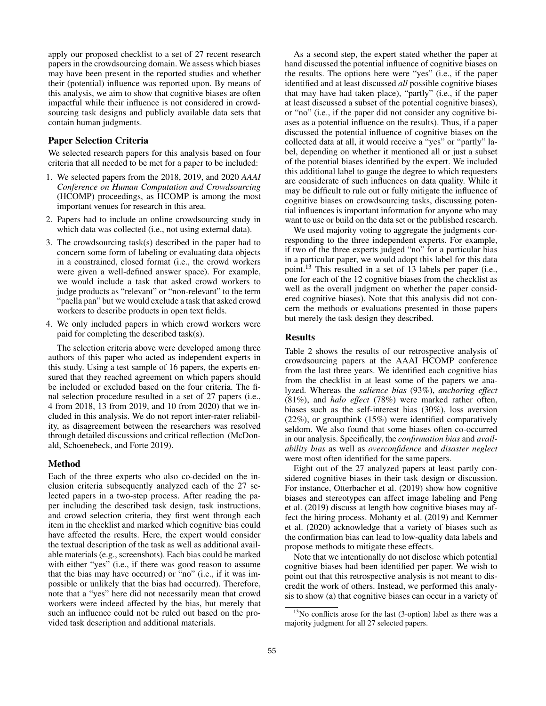apply our proposed checklist to a set of 27 recent research papers in the crowdsourcing domain. We assess which biases may have been present in the reported studies and whether their (potential) influence was reported upon. By means of this analysis, we aim to show that cognitive biases are often impactful while their influence is not considered in crowdsourcing task designs and publicly available data sets that contain human judgments.

### Paper Selection Criteria

We selected research papers for this analysis based on four criteria that all needed to be met for a paper to be included:

- 1. We selected papers from the 2018, 2019, and 2020 *AAAI Conference on Human Computation and Crowdsourcing* (HCOMP) proceedings, as HCOMP is among the most important venues for research in this area.
- 2. Papers had to include an online crowdsourcing study in which data was collected (i.e., not using external data).
- 3. The crowdsourcing task(s) described in the paper had to concern some form of labeling or evaluating data objects in a constrained, closed format (i.e., the crowd workers were given a well-defined answer space). For example, we would include a task that asked crowd workers to judge products as "relevant" or "non-relevant" to the term "paella pan" but we would exclude a task that asked crowd workers to describe products in open text fields.
- 4. We only included papers in which crowd workers were paid for completing the described task(s).

The selection criteria above were developed among three authors of this paper who acted as independent experts in this study. Using a test sample of 16 papers, the experts ensured that they reached agreement on which papers should be included or excluded based on the four criteria. The final selection procedure resulted in a set of 27 papers (i.e., 4 from 2018, 13 from 2019, and 10 from 2020) that we included in this analysis. We do not report inter-rater reliability, as disagreement between the researchers was resolved through detailed discussions and critical reflection (McDonald, Schoenebeck, and Forte 2019).

### Method

Each of the three experts who also co-decided on the inclusion criteria subsequently analyzed each of the 27 selected papers in a two-step process. After reading the paper including the described task design, task instructions, and crowd selection criteria, they first went through each item in the checklist and marked which cognitive bias could have affected the results. Here, the expert would consider the textual description of the task as well as additional available materials (e.g., screenshots). Each bias could be marked with either "yes" (i.e., if there was good reason to assume that the bias may have occurred) or "no" (i.e., if it was impossible or unlikely that the bias had occurred). Therefore, note that a "yes" here did not necessarily mean that crowd workers were indeed affected by the bias, but merely that such an influence could not be ruled out based on the provided task description and additional materials.

As a second step, the expert stated whether the paper at hand discussed the potential influence of cognitive biases on the results. The options here were "yes" (i.e., if the paper identified and at least discussed *all* possible cognitive biases that may have had taken place), "partly" (i.e., if the paper at least discussed a subset of the potential cognitive biases), or "no" (i.e., if the paper did not consider any cognitive biases as a potential influence on the results). Thus, if a paper discussed the potential influence of cognitive biases on the collected data at all, it would receive a "yes" or "partly" label, depending on whether it mentioned all or just a subset of the potential biases identified by the expert. We included this additional label to gauge the degree to which requesters are considerate of such influences on data quality. While it may be difficult to rule out or fully mitigate the influence of cognitive biases on crowdsourcing tasks, discussing potential influences is important information for anyone who may want to use or build on the data set or the published research.

We used majority voting to aggregate the judgments corresponding to the three independent experts. For example, if two of the three experts judged "no" for a particular bias in a particular paper, we would adopt this label for this data point.<sup>13</sup> This resulted in a set of 13 labels per paper (i.e., one for each of the 12 cognitive biases from the checklist as well as the overall judgment on whether the paper considered cognitive biases). Note that this analysis did not concern the methods or evaluations presented in those papers but merely the task design they described.

### Results

Table 2 shows the results of our retrospective analysis of crowdsourcing papers at the AAAI HCOMP conference from the last three years. We identified each cognitive bias from the checklist in at least some of the papers we analyzed. Whereas the *salience bias* (93%), *anchoring effect* (81%), and *halo effect* (78%) were marked rather often, biases such as the self-interest bias (30%), loss aversion (22%), or groupthink (15%) were identified comparatively seldom. We also found that some biases often co-occurred in our analysis. Specifically, the *confirmation bias* and *availability bias* as well as *overconfidence* and *disaster neglect* were most often identified for the same papers.

Eight out of the 27 analyzed papers at least partly considered cognitive biases in their task design or discussion. For instance, Otterbacher et al. (2019) show how cognitive biases and stereotypes can affect image labeling and Peng et al. (2019) discuss at length how cognitive biases may affect the hiring process. Mohanty et al. (2019) and Kemmer et al. (2020) acknowledge that a variety of biases such as the confirmation bias can lead to low-quality data labels and propose methods to mitigate these effects.

Note that we intentionally do not disclose which potential cognitive biases had been identified per paper. We wish to point out that this retrospective analysis is not meant to discredit the work of others. Instead, we performed this analysis to show (a) that cognitive biases can occur in a variety of

<sup>&</sup>lt;sup>13</sup>No conflicts arose for the last (3-option) label as there was a majority judgment for all 27 selected papers.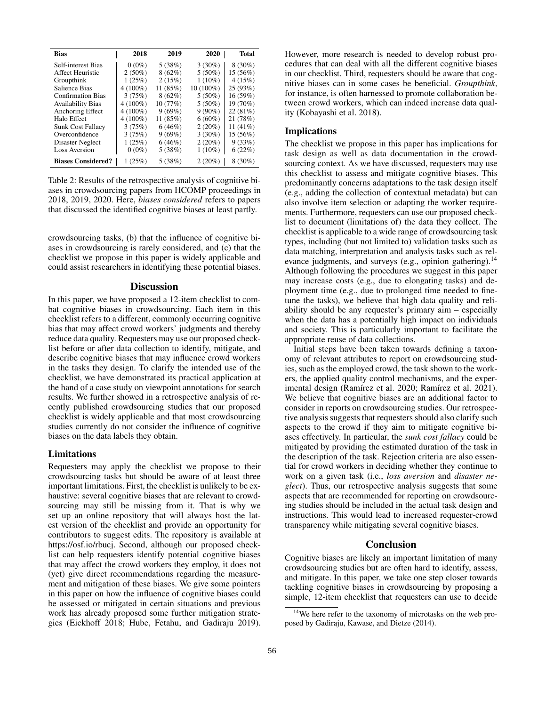| <b>Bias</b>               | 2018       | 2019     | 2020      | <b>Total</b> |
|---------------------------|------------|----------|-----------|--------------|
| Self-interest Bias        | $0(0\%)$   | 5(38%)   | $3(30\%)$ | $8(30\%)$    |
| <b>Affect Heuristic</b>   | $2(50\%)$  | 8(62%)   | $5(50\%)$ | 15(56%)      |
| Groupthink                | 1(25%)     | 2(15%)   | $1(10\%)$ | 4(15%)       |
| Salience Bias             | $4(100\%)$ | 11 (85%) | 10 (100%) | 25(93%)      |
| <b>Confirmation Bias</b>  | 3(75%)     | 8(62%)   | $5(50\%)$ | 16(59%)      |
| <b>Availability Bias</b>  | $4(100\%)$ | 10 (77%) | $5(50\%)$ | 19 (70%)     |
| Anchoring Effect          | $4(100\%)$ | 9(69%)   | $9(90\%)$ | 22(81%)      |
| Halo Effect               | $4(100\%)$ | 11 (85%) | $6(60\%)$ | 21 (78%)     |
| <b>Sunk Cost Fallacy</b>  | 3(75%)     | 6(46%)   | 2(20%)    | 11 $(41\%)$  |
| Overconfidence            | 3(75%)     | 9(69%)   | $3(30\%)$ | 15 (56%)     |
| Disaster Neglect          | 1(25%)     | 6(46%)   | 2(20%)    | 9(33%)       |
| <b>Loss Aversion</b>      | $0(0\%)$   | 5(38%)   | $1(10\%)$ | 6(22%)       |
| <b>Biases Considered?</b> | 1(25%)     | 5(38%)   | 2(20%)    | $8(30\%)$    |

Table 2: Results of the retrospective analysis of cognitive biases in crowdsourcing papers from HCOMP proceedings in 2018, 2019, 2020. Here, *biases considered* refers to papers that discussed the identified cognitive biases at least partly.

crowdsourcing tasks, (b) that the influence of cognitive biases in crowdsourcing is rarely considered, and (c) that the checklist we propose in this paper is widely applicable and could assist researchers in identifying these potential biases.

### **Discussion**

In this paper, we have proposed a 12-item checklist to combat cognitive biases in crowdsourcing. Each item in this checklist refers to a different, commonly occurring cognitive bias that may affect crowd workers' judgments and thereby reduce data quality. Requesters may use our proposed checklist before or after data collection to identify, mitigate, and describe cognitive biases that may influence crowd workers in the tasks they design. To clarify the intended use of the checklist, we have demonstrated its practical application at the hand of a case study on viewpoint annotations for search results. We further showed in a retrospective analysis of recently published crowdsourcing studies that our proposed checklist is widely applicable and that most crowdsourcing studies currently do not consider the influence of cognitive biases on the data labels they obtain.

### Limitations

Requesters may apply the checklist we propose to their crowdsourcing tasks but should be aware of at least three important limitations. First, the checklist is unlikely to be exhaustive: several cognitive biases that are relevant to crowdsourcing may still be missing from it. That is why we set up an online repository that will always host the latest version of the checklist and provide an opportunity for contributors to suggest edits. The repository is available at https://osf.io/rbucj. Second, although our proposed checklist can help requesters identify potential cognitive biases that may affect the crowd workers they employ, it does not (yet) give direct recommendations regarding the measurement and mitigation of these biases. We give some pointers in this paper on how the influence of cognitive biases could be assessed or mitigated in certain situations and previous work has already proposed some further mitigation strategies (Eickhoff 2018; Hube, Fetahu, and Gadiraju 2019). However, more research is needed to develop robust procedures that can deal with all the different cognitive biases in our checklist. Third, requesters should be aware that cognitive biases can in some cases be beneficial. *Groupthink*, for instance, is often harnessed to promote collaboration between crowd workers, which can indeed increase data quality (Kobayashi et al. 2018).

### Implications

The checklist we propose in this paper has implications for task design as well as data documentation in the crowdsourcing context. As we have discussed, requesters may use this checklist to assess and mitigate cognitive biases. This predominantly concerns adaptations to the task design itself (e.g., adding the collection of contextual metadata) but can also involve item selection or adapting the worker requirements. Furthermore, requesters can use our proposed checklist to document (limitations of) the data they collect. The checklist is applicable to a wide range of crowdsourcing task types, including (but not limited to) validation tasks such as data matching, interpretation and analysis tasks such as relevance judgments, and surveys (e.g., opinion gathering).<sup>14</sup> Although following the procedures we suggest in this paper may increase costs (e.g., due to elongating tasks) and deployment time (e.g., due to prolonged time needed to finetune the tasks), we believe that high data quality and reliability should be any requester's primary aim – especially when the data has a potentially high impact on individuals and society. This is particularly important to facilitate the appropriate reuse of data collections.

Initial steps have been taken towards defining a taxonomy of relevant attributes to report on crowdsourcing studies, such as the employed crowd, the task shown to the workers, the applied quality control mechanisms, and the experimental design (Ramírez et al. 2020; Ramírez et al. 2021). We believe that cognitive biases are an additional factor to consider in reports on crowdsourcing studies. Our retrospective analysis suggests that requesters should also clarify such aspects to the crowd if they aim to mitigate cognitive biases effectively. In particular, the *sunk cost fallacy* could be mitigated by providing the estimated duration of the task in the description of the task. Rejection criteria are also essential for crowd workers in deciding whether they continue to work on a given task (i.e., *loss aversion* and *disaster neglect*). Thus, our retrospective analysis suggests that some aspects that are recommended for reporting on crowdsourcing studies should be included in the actual task design and instructions. This would lead to increased requester-crowd transparency while mitigating several cognitive biases.

### Conclusion

Cognitive biases are likely an important limitation of many crowdsourcing studies but are often hard to identify, assess, and mitigate. In this paper, we take one step closer towards tackling cognitive biases in crowdsourcing by proposing a simple, 12-item checklist that requesters can use to decide

<sup>&</sup>lt;sup>14</sup>We here refer to the taxonomy of microtasks on the web proposed by Gadiraju, Kawase, and Dietze (2014).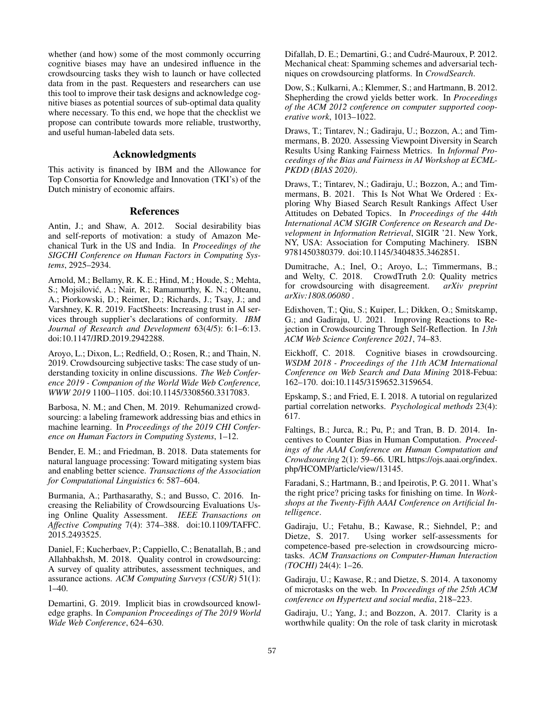whether (and how) some of the most commonly occurring cognitive biases may have an undesired influence in the crowdsourcing tasks they wish to launch or have collected data from in the past. Requesters and researchers can use this tool to improve their task designs and acknowledge cognitive biases as potential sources of sub-optimal data quality where necessary. To this end, we hope that the checklist we propose can contribute towards more reliable, trustworthy, and useful human-labeled data sets.

### Acknowledgments

This activity is financed by IBM and the Allowance for Top Consortia for Knowledge and Innovation (TKI's) of the Dutch ministry of economic affairs.

### References

Antin, J.; and Shaw, A. 2012. Social desirability bias and self-reports of motivation: a study of Amazon Mechanical Turk in the US and India. In *Proceedings of the SIGCHI Conference on Human Factors in Computing Systems*, 2925–2934.

Arnold, M.; Bellamy, R. K. E.; Hind, M.; Houde, S.; Mehta, S.; Mojsilović, A.; Nair, R.; Ramamurthy, K. N.; Olteanu, A.; Piorkowski, D.; Reimer, D.; Richards, J.; Tsay, J.; and Varshney, K. R. 2019. FactSheets: Increasing trust in AI services through supplier's declarations of conformity. *IBM Journal of Research and Development* 63(4/5): 6:1–6:13. doi:10.1147/JRD.2019.2942288.

Aroyo, L.; Dixon, L.; Redfield, O.; Rosen, R.; and Thain, N. 2019. Crowdsourcing subjective tasks: The case study of understanding toxicity in online discussions. *The Web Conference 2019 - Companion of the World Wide Web Conference, WWW 2019* 1100–1105. doi:10.1145/3308560.3317083.

Barbosa, N. M.; and Chen, M. 2019. Rehumanized crowdsourcing: a labeling framework addressing bias and ethics in machine learning. In *Proceedings of the 2019 CHI Conference on Human Factors in Computing Systems*, 1–12.

Bender, E. M.; and Friedman, B. 2018. Data statements for natural language processing: Toward mitigating system bias and enabling better science. *Transactions of the Association for Computational Linguistics* 6: 587–604.

Burmania, A.; Parthasarathy, S.; and Busso, C. 2016. Increasing the Reliability of Crowdsourcing Evaluations Using Online Quality Assessment. *IEEE Transactions on Affective Computing* 7(4): 374–388. doi:10.1109/TAFFC. 2015.2493525.

Daniel, F.; Kucherbaev, P.; Cappiello, C.; Benatallah, B.; and Allahbakhsh, M. 2018. Quality control in crowdsourcing: A survey of quality attributes, assessment techniques, and assurance actions. *ACM Computing Surveys (CSUR)* 51(1): 1–40.

Demartini, G. 2019. Implicit bias in crowdsourced knowledge graphs. In *Companion Proceedings of The 2019 World Wide Web Conference*, 624–630.

Difallah, D. E.; Demartini, G.; and Cudré-Mauroux, P. 2012. Mechanical cheat: Spamming schemes and adversarial techniques on crowdsourcing platforms. In *CrowdSearch*.

Dow, S.; Kulkarni, A.; Klemmer, S.; and Hartmann, B. 2012. Shepherding the crowd yields better work. In *Proceedings of the ACM 2012 conference on computer supported cooperative work*, 1013–1022.

Draws, T.; Tintarev, N.; Gadiraju, U.; Bozzon, A.; and Timmermans, B. 2020. Assessing Viewpoint Diversity in Search Results Using Ranking Fairness Metrics. In *Informal Proceedings of the Bias and Fairness in AI Workshop at ECML-PKDD (BIAS 2020)*.

Draws, T.; Tintarev, N.; Gadiraju, U.; Bozzon, A.; and Timmermans, B. 2021. This Is Not What We Ordered : Exploring Why Biased Search Result Rankings Affect User Attitudes on Debated Topics. In *Proceedings of the 44th International ACM SIGIR Conference on Research and Development in Information Retrieval*, SIGIR '21. New York, NY, USA: Association for Computing Machinery. ISBN 9781450380379. doi:10.1145/3404835.3462851.

Dumitrache, A.; Inel, O.; Aroyo, L.; Timmermans, B.; and Welty, C. 2018. CrowdTruth 2.0: Quality metrics for crowdsourcing with disagreement. *arXiv preprint arXiv:1808.06080* .

Edixhoven, T.; Qiu, S.; Kuiper, L.; Dikken, O.; Smitskamp, G.; and Gadiraju, U. 2021. Improving Reactions to Rejection in Crowdsourcing Through Self-Reflection. In *13th ACM Web Science Conference 2021*, 74–83.

Eickhoff, C. 2018. Cognitive biases in crowdsourcing. *WSDM 2018 - Proceedings of the 11th ACM International Conference on Web Search and Data Mining* 2018-Febua: 162–170. doi:10.1145/3159652.3159654.

Epskamp, S.; and Fried, E. I. 2018. A tutorial on regularized partial correlation networks. *Psychological methods* 23(4): 617.

Faltings, B.; Jurca, R.; Pu, P.; and Tran, B. D. 2014. Incentives to Counter Bias in Human Computation. *Proceedings of the AAAI Conference on Human Computation and Crowdsourcing* 2(1): 59–66. URL https://ojs.aaai.org/index. php/HCOMP/article/view/13145.

Faradani, S.; Hartmann, B.; and Ipeirotis, P. G. 2011. What's the right price? pricing tasks for finishing on time. In *Workshops at the Twenty-Fifth AAAI Conference on Artificial Intelligence*.

Gadiraju, U.; Fetahu, B.; Kawase, R.; Siehndel, P.; and Dietze, S. 2017. Using worker self-assessments for competence-based pre-selection in crowdsourcing microtasks. *ACM Transactions on Computer-Human Interaction (TOCHI)* 24(4): 1–26.

Gadiraju, U.; Kawase, R.; and Dietze, S. 2014. A taxonomy of microtasks on the web. In *Proceedings of the 25th ACM conference on Hypertext and social media*, 218–223.

Gadiraju, U.; Yang, J.; and Bozzon, A. 2017. Clarity is a worthwhile quality: On the role of task clarity in microtask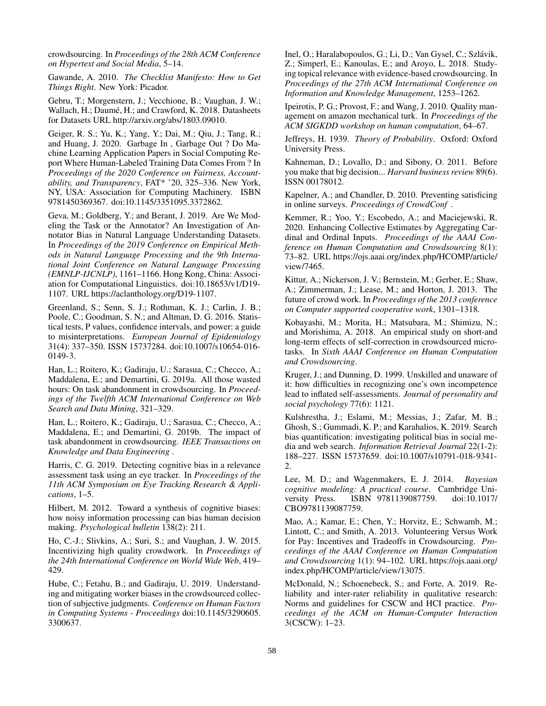crowdsourcing. In *Proceedings of the 28th ACM Conference on Hypertext and Social Media*, 5–14.

Gawande, A. 2010. *The Checklist Manifesto: How to Get Things Right*. New York: Picador.

Gebru, T.; Morgenstern, J.; Vecchione, B.; Vaughan, J. W.; Wallach, H.; Daumé, H.; and Crawford, K. 2018. Datasheets for Datasets URL http://arxiv.org/abs/1803.09010.

Geiger, R. S.; Yu, K.; Yang, Y.; Dai, M.; Qiu, J.; Tang, R.; and Huang, J. 2020. Garbage In , Garbage Out ? Do Machine Learning Application Papers in Social Computing Report Where Human-Labeled Training Data Comes From ? In *Proceedings of the 2020 Conference on Fairness, Accountability, and Transparency*, FAT\* '20, 325–336. New York, NY, USA: Association for Computing Machinery. ISBN 9781450369367. doi:10.1145/3351095.3372862.

Geva, M.; Goldberg, Y.; and Berant, J. 2019. Are We Modeling the Task or the Annotator? An Investigation of Annotator Bias in Natural Language Understanding Datasets. In *Proceedings of the 2019 Conference on Empirical Methods in Natural Language Processing and the 9th International Joint Conference on Natural Language Processing (EMNLP-IJCNLP)*, 1161–1166. Hong Kong, China: Association for Computational Linguistics. doi:10.18653/v1/D19- 1107. URL https://aclanthology.org/D19-1107.

Greenland, S.; Senn, S. J.; Rothman, K. J.; Carlin, J. B.; Poole, C.; Goodman, S. N.; and Altman, D. G. 2016. Statistical tests, P values, confidence intervals, and power: a guide to misinterpretations. *European Journal of Epidemiology* 31(4): 337–350. ISSN 15737284. doi:10.1007/s10654-016- 0149-3.

Han, L.; Roitero, K.; Gadiraju, U.; Sarasua, C.; Checco, A.; Maddalena, E.; and Demartini, G. 2019a. All those wasted hours: On task abandonment in crowdsourcing. In *Proceedings of the Twelfth ACM International Conference on Web Search and Data Mining*, 321–329.

Han, L.; Roitero, K.; Gadiraju, U.; Sarasua, C.; Checco, A.; Maddalena, E.; and Demartini, G. 2019b. The impact of task abandonment in crowdsourcing. *IEEE Transactions on Knowledge and Data Engineering* .

Harris, C. G. 2019. Detecting cognitive bias in a relevance assessment task using an eye tracker. In *Proceedings of the 11th ACM Symposium on Eye Tracking Research & Applications*, 1–5.

Hilbert, M. 2012. Toward a synthesis of cognitive biases: how noisy information processing can bias human decision making. *Psychological bulletin* 138(2): 211.

Ho, C.-J.; Slivkins, A.; Suri, S.; and Vaughan, J. W. 2015. Incentivizing high quality crowdwork. In *Proceedings of the 24th International Conference on World Wide Web*, 419– 429.

Hube, C.; Fetahu, B.; and Gadiraju, U. 2019. Understanding and mitigating worker biases in the crowdsourced collection of subjective judgments. *Conference on Human Factors in Computing Systems - Proceedings* doi:10.1145/3290605. 3300637.

Inel, O.; Haralabopoulos, G.; Li, D.; Van Gysel, C.; Szlávik, Z.; Simperl, E.; Kanoulas, E.; and Aroyo, L. 2018. Studying topical relevance with evidence-based crowdsourcing. In *Proceedings of the 27th ACM International Conference on Information and Knowledge Management*, 1253–1262.

Ipeirotis, P. G.; Provost, F.; and Wang, J. 2010. Quality management on amazon mechanical turk. In *Proceedings of the ACM SIGKDD workshop on human computation*, 64–67.

Jeffreys, H. 1939. *Theory of Probability*. Oxford: Oxford University Press.

Kahneman, D.; Lovallo, D.; and Sibony, O. 2011. Before you make that big decision... *Harvard business review* 89(6). ISSN 00178012.

Kapelner, A.; and Chandler, D. 2010. Preventing satisficing in online surveys. *Proceedings of CrowdConf* .

Kemmer, R.; Yoo, Y.; Escobedo, A.; and Maciejewski, R. 2020. Enhancing Collective Estimates by Aggregating Cardinal and Ordinal Inputs. *Proceedings of the AAAI Conference on Human Computation and Crowdsourcing* 8(1): 73–82. URL https://ojs.aaai.org/index.php/HCOMP/article/ view/7465.

Kittur, A.; Nickerson, J. V.; Bernstein, M.; Gerber, E.; Shaw, A.; Zimmerman, J.; Lease, M.; and Horton, J. 2013. The future of crowd work. In *Proceedings of the 2013 conference on Computer supported cooperative work*, 1301–1318.

Kobayashi, M.; Morita, H.; Matsubara, M.; Shimizu, N.; and Morishima, A. 2018. An empirical study on short-and long-term effects of self-correction in crowdsourced microtasks. In *Sixth AAAI Conference on Human Computation and Crowdsourcing*.

Kruger, J.; and Dunning, D. 1999. Unskilled and unaware of it: how difficulties in recognizing one's own incompetence lead to inflated self-assessments. *Journal of personality and social psychology* 77(6): 1121.

Kulshrestha, J.; Eslami, M.; Messias, J.; Zafar, M. B.; Ghosh, S.; Gummadi, K. P.; and Karahalios, K. 2019. Search bias quantification: investigating political bias in social media and web search. *Information Retrieval Journal* 22(1-2): 188–227. ISSN 15737659. doi:10.1007/s10791-018-9341- 2.

Lee, M. D.; and Wagenmakers, E. J. 2014. *Bayesian cognitive modeling: A practical course*. Cambridge University Press. ISBN 9781139087759. doi:10.1017/ CBO9781139087759.

Mao, A.; Kamar, E.; Chen, Y.; Horvitz, E.; Schwamb, M.; Lintott, C.; and Smith, A. 2013. Volunteering Versus Work for Pay: Incentives and Tradeoffs in Crowdsourcing. *Proceedings of the AAAI Conference on Human Computation and Crowdsourcing* 1(1): 94–102. URL https://ojs.aaai.org/ index.php/HCOMP/article/view/13075.

McDonald, N.; Schoenebeck, S.; and Forte, A. 2019. Reliability and inter-rater reliability in qualitative research: Norms and guidelines for CSCW and HCI practice. *Proceedings of the ACM on Human-Computer Interaction* 3(CSCW): 1–23.